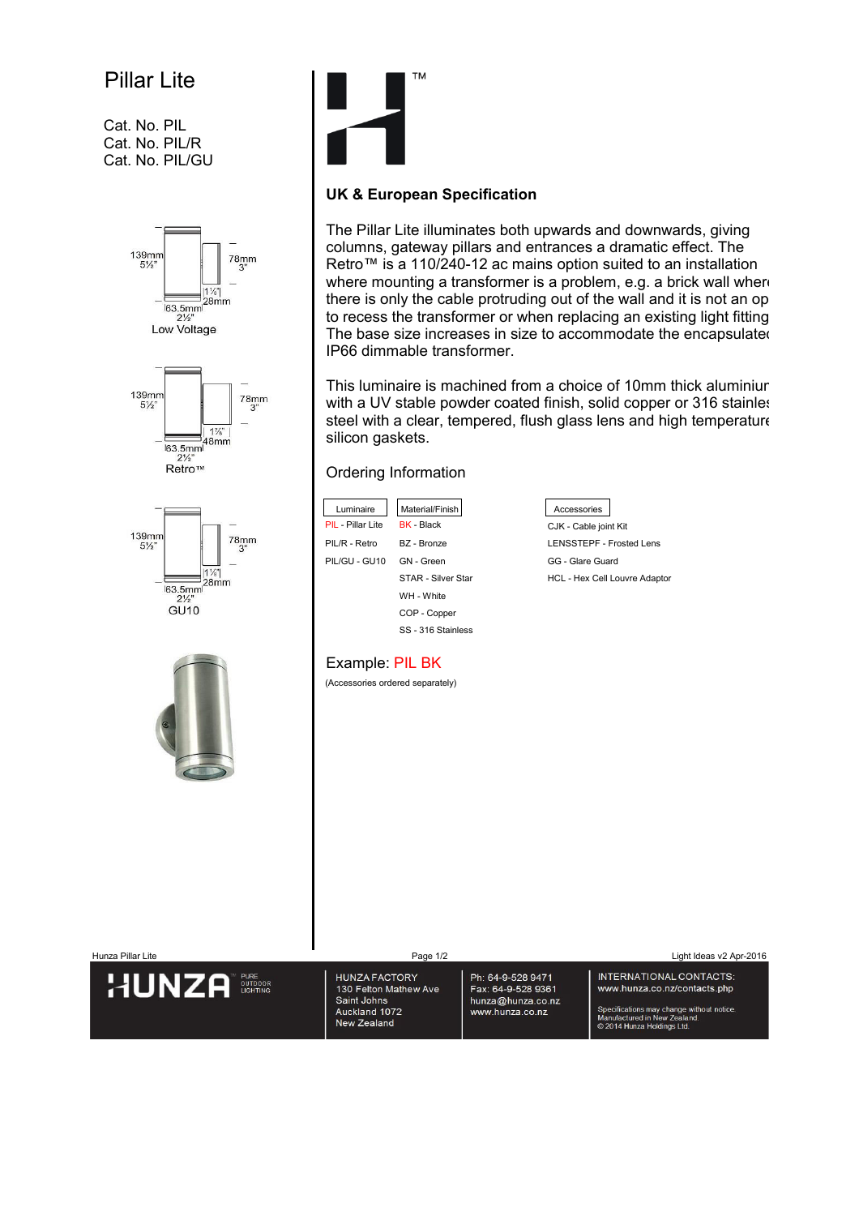## Pillar Lite

Cat. No. PIL Cat. No. PIL/R Cat. No. PIL/GU





## **UK & European Specification**

The Pillar Lite illuminates both upwards and downwards, giving columns, gateway pillars and entrances a dramatic effect. The Retro™ is a 110/240-12 ac mains option suited to an installation where mounting a transformer is a problem, e.g. a brick wall where there is only the cable protruding out of the wall and it is not an op to recess the transformer or when replacing an existing light fitting. The base size increases in size to accommodate the encapsulated IP66 dimmable transformer.

This luminaire is machined from a choice of 10mm thick aluminiur with a UV stable powder coated finish, solid copper or 316 stainless steel with a clear, tempered, flush glass lens and high temperature silicon gaskets.

## Ordering Information

| Luminaire                | Material/Finish           | Accessories                          |
|--------------------------|---------------------------|--------------------------------------|
| <b>PIL</b> - Pillar Lite | <b>BK</b> - Black         | CJK - Cable joint Kit                |
| PIL/R - Retro            | BZ - Bronze               | <b>LENSSTEPF - Frosted Lens</b>      |
| PIL/GU - GU10            | <b>GN</b> - Green         | <b>GG</b> - Glare Guard              |
|                          | <b>STAR - Silver Star</b> | <b>HCL - Hex Cell Louvre Adaptor</b> |
|                          | WH - White                |                                      |
|                          | COP - Copper              |                                      |

SS - 316 Stainless



## Example: PIL BK

(Accessories ordered separately)

| Hunza Pillar Lite                                         | Page 1/2                                                                                     |                                                                                 | Light Ideas v2 Apr-2016                                                                                                                                            |
|-----------------------------------------------------------|----------------------------------------------------------------------------------------------|---------------------------------------------------------------------------------|--------------------------------------------------------------------------------------------------------------------------------------------------------------------|
| <b>PURE</b><br>HUNZA<br><b>OUTDOOR</b><br><b>LIGHTING</b> | <b>HUNZA FACTORY</b><br>130 Felton Mathew Ave<br>Saint Johns<br>Auckland 1072<br>New Zealand | Ph: 64-9-528 9471<br>Fax: 64-9-528 9361<br>hunza@hunza.co.nz<br>www.hunza.co.nz | INTERNATIONAL CONTACTS:<br>www.hunza.co.nz/contacts.php<br>Specifications may change without notice.<br>Manufactured in New Zealand.<br>© 2014 Hunza Holdings Ltd. |